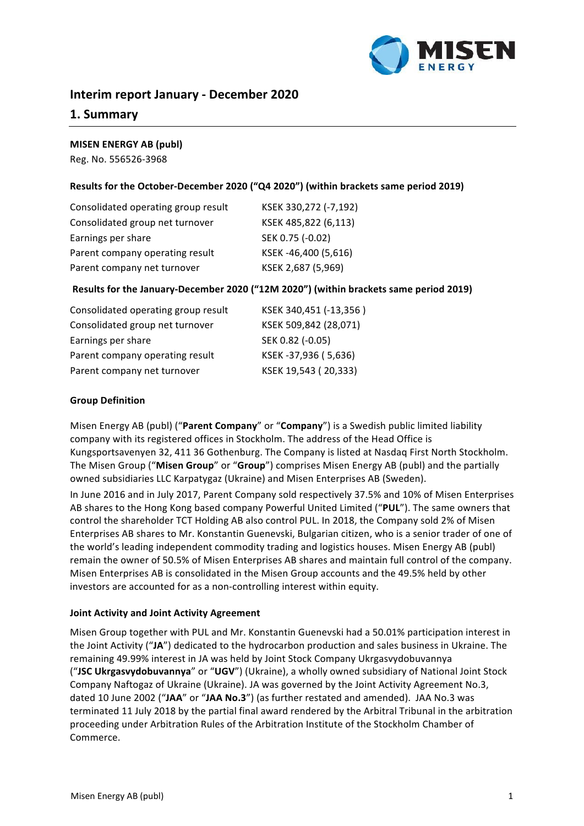

# **Interim report January - December 2020**

# **1. Summary**

### **MISEN ENERGY AB (publ)**

Reg. No. 556526-3968

# Results for the October-December 2020 ("Q4 2020") (within brackets same period 2019)

| Consolidated operating group result | KSEK 330,272 (-7,192) |
|-------------------------------------|-----------------------|
| Consolidated group net turnover     | KSEK 485,822 (6,113)  |
| Earnings per share                  | SEK 0.75 (-0.02)      |
| Parent company operating result     | KSEK-46,400 (5,616)   |
| Parent company net turnover         | KSEK 2,687 (5,969)    |
|                                     |                       |

### **Results for the January-December 2020 ("12M 2020") (within brackets same period 2019)**

| Consolidated operating group result | KSEK 340,451 (-13,356) |
|-------------------------------------|------------------------|
| Consolidated group net turnover     | KSEK 509,842 (28,071)  |
| Earnings per share                  | SEK 0.82 (-0.05)       |
| Parent company operating result     | KSEK-37,936 (5,636)    |
| Parent company net turnover         | KSEK 19,543 (20,333)   |

### **Group Definition**

Misen Energy AB (publ) ("Parent Company" or "Company") is a Swedish public limited liability company with its registered offices in Stockholm. The address of the Head Office is Kungsportsavenyen 32, 411 36 Gothenburg. The Company is listed at Nasdaq First North Stockholm. The Misen Group ("**Misen Group**" or "**Group**") comprises Misen Energy AB (publ) and the partially owned subsidiaries LLC Karpatygaz (Ukraine) and Misen Enterprises AB (Sweden).

In June 2016 and in July 2017, Parent Company sold respectively 37.5% and 10% of Misen Enterprises AB shares to the Hong Kong based company Powerful United Limited ("PUL"). The same owners that control the shareholder TCT Holding AB also control PUL. In 2018, the Company sold 2% of Misen Enterprises AB shares to Mr. Konstantin Guenevski, Bulgarian citizen, who is a senior trader of one of the world's leading independent commodity trading and logistics houses. Misen Energy AB (publ) remain the owner of 50.5% of Misen Enterprises AB shares and maintain full control of the company. Misen Enterprises AB is consolidated in the Misen Group accounts and the 49.5% held by other investors are accounted for as a non-controlling interest within equity.

#### **Joint Activity and Joint Activity Agreement**

Misen Group together with PUL and Mr. Konstantin Guenevski had a 50.01% participation interest in the Joint Activity ("JA") dedicated to the hydrocarbon production and sales business in Ukraine. The remaining 49.99% interest in JA was held by Joint Stock Company Ukrgasvydobuvannya ("JSC Ukrgasvydobuvannya" or "UGV") (Ukraine), a wholly owned subsidiary of National Joint Stock Company Naftogaz of Ukraine (Ukraine). JA was governed by the Joint Activity Agreement No.3, dated 10 June 2002 ("JAA" or "JAA No.3") (as further restated and amended). JAA No.3 was terminated 11 July 2018 by the partial final award rendered by the Arbitral Tribunal in the arbitration proceeding under Arbitration Rules of the Arbitration Institute of the Stockholm Chamber of Commerce.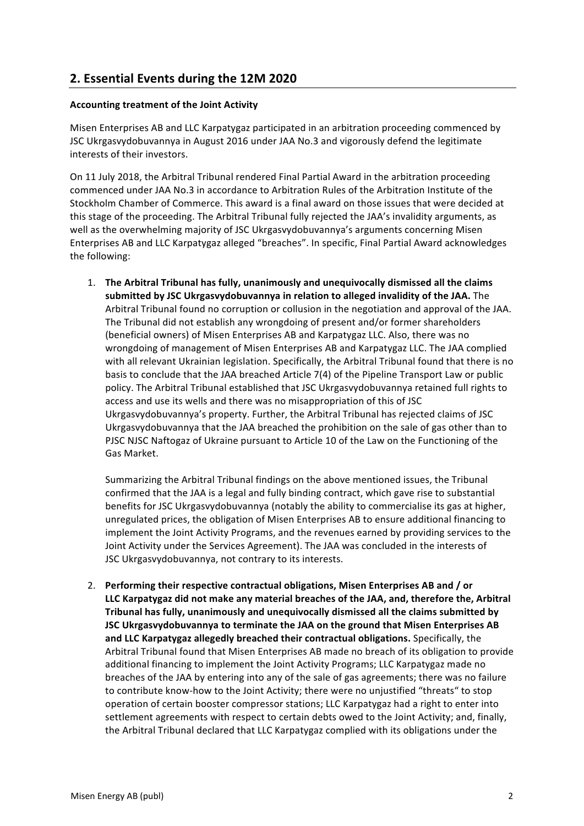# **2. Essential Events during the 12М 2020**

# **Accounting treatment of the Joint Activity**

Misen Enterprises AB and LLC Karpatygaz participated in an arbitration proceeding commenced by JSC Ukrgasvydobuvannya in August 2016 under JAA No.3 and vigorously defend the legitimate interests of their investors.

On 11 July 2018, the Arbitral Tribunal rendered Final Partial Award in the arbitration proceeding commenced under JAA No.3 in accordance to Arbitration Rules of the Arbitration Institute of the Stockholm Chamber of Commerce. This award is a final award on those issues that were decided at this stage of the proceeding. The Arbitral Tribunal fully rejected the JAA's invalidity arguments, as well as the overwhelming majority of JSC Ukrgasvydobuvannya's arguments concerning Misen Enterprises AB and LLC Karpatygaz alleged "breaches". In specific, Final Partial Award acknowledges the following:

1. The Arbitral Tribunal has fully, unanimously and unequivocally dismissed all the claims submitted by JSC Ukrgasvydobuvannya in relation to alleged invalidity of the JAA. The Arbitral Tribunal found no corruption or collusion in the negotiation and approval of the JAA. The Tribunal did not establish any wrongdoing of present and/or former shareholders (beneficial owners) of Misen Enterprises AB and Karpatygaz LLC. Also, there was no wrongdoing of management of Misen Enterprises AB and Karpatygaz LLC. The JAA complied with all relevant Ukrainian legislation. Specifically, the Arbitral Tribunal found that there is no basis to conclude that the JAA breached Article 7(4) of the Pipeline Transport Law or public policy. The Arbitral Tribunal established that JSC Ukrgasvydobuvannya retained full rights to access and use its wells and there was no misappropriation of this of JSC Ukrgasvydobuvannya's property. Further, the Arbitral Tribunal has rejected claims of JSC Ukrgasvydobuvannya that the JAA breached the prohibition on the sale of gas other than to PJSC NJSC Naftogaz of Ukraine pursuant to Article 10 of the Law on the Functioning of the Gas Market.

Summarizing the Arbitral Tribunal findings on the above mentioned issues, the Tribunal confirmed that the JAA is a legal and fully binding contract, which gave rise to substantial benefits for JSC Ukrgasvydobuvannya (notably the ability to commercialise its gas at higher, unregulated prices, the obligation of Misen Enterprises AB to ensure additional financing to implement the Joint Activity Programs, and the revenues earned by providing services to the Joint Activity under the Services Agreement). The JAA was concluded in the interests of JSC Ukrgasvydobuvannya, not contrary to its interests.

2. Performing their respective contractual obligations, Misen Enterprises AB and / or LLC Karpatygaz did not make any material breaches of the JAA, and, therefore the, Arbitral Tribunal has fully, unanimously and unequivocally dismissed all the claims submitted by **JSC Ukrgasvydobuvannya to terminate the JAA on the ground that Misen Enterprises AB** and LLC Karpatygaz allegedly breached their contractual obligations. Specifically, the Arbitral Tribunal found that Misen Enterprises AB made no breach of its obligation to provide additional financing to implement the Joint Activity Programs; LLC Karpatygaz made no breaches of the JAA by entering into any of the sale of gas agreements; there was no failure to contribute know-how to the Joint Activity; there were no unjustified "threats" to stop operation of certain booster compressor stations; LLC Karpatygaz had a right to enter into settlement agreements with respect to certain debts owed to the Joint Activity; and, finally, the Arbitral Tribunal declared that LLC Karpatygaz complied with its obligations under the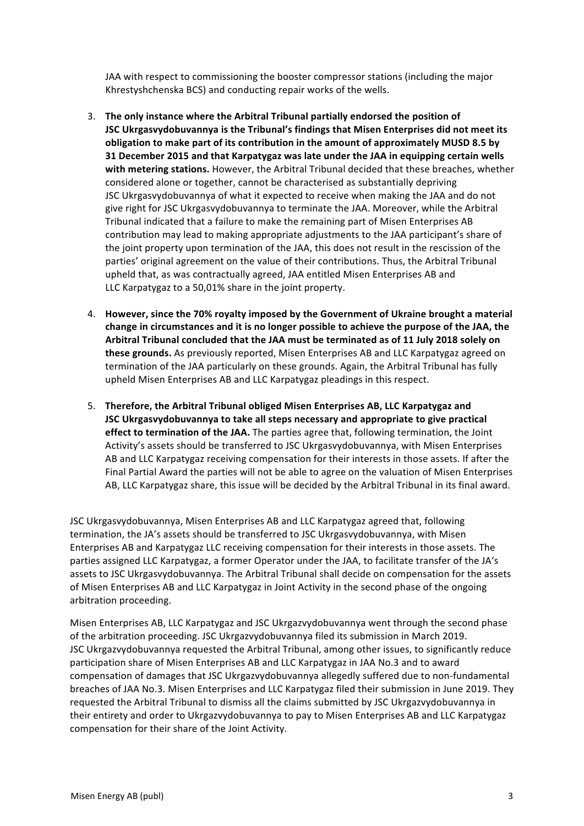JAA with respect to commissioning the booster compressor stations (including the major Khrestyshchenska BCS) and conducting repair works of the wells.

- 3. The only instance where the Arbitral Tribunal partially endorsed the position of **JSC Ukrgasvydobuvannya is the Tribunal's findings that Misen Enterprises did not meet its** obligation to make part of its contribution in the amount of approximately MUSD 8.5 by **31 December 2015 and that Karpatygaz was late under the JAA in equipping certain wells** with metering stations. However, the Arbitral Tribunal decided that these breaches, whether considered alone or together, cannot be characterised as substantially depriving JSC Ukrgasvydobuvannya of what it expected to receive when making the JAA and do not give right for JSC Ukrgasvydobuvannya to terminate the JAA. Moreover, while the Arbitral Tribunal indicated that a failure to make the remaining part of Misen Enterprises AB contribution may lead to making appropriate adjustments to the JAA participant's share of the joint property upon termination of the JAA, this does not result in the rescission of the parties' original agreement on the value of their contributions. Thus, the Arbitral Tribunal upheld that, as was contractually agreed, JAA entitled Misen Enterprises AB and LLC Karpatygaz to a 50,01% share in the joint property.
- 4. However, since the 70% royalty imposed by the Government of Ukraine brought a material change in circumstances and it is no longer possible to achieve the purpose of the JAA, the Arbitral Tribunal concluded that the JAA must be terminated as of 11 July 2018 solely on **these grounds.** As previously reported, Misen Enterprises AB and LLC Karpatygaz agreed on termination of the JAA particularly on these grounds. Again, the Arbitral Tribunal has fully upheld Misen Enterprises AB and LLC Karpatygaz pleadings in this respect.
- 5. Therefore, the Arbitral Tribunal obliged Misen Enterprises AB, LLC Karpatygaz and **JSC** Ukrgasvydobuvannya to take all steps necessary and appropriate to give practical **effect to termination of the JAA.** The parties agree that, following termination, the Joint Activity's assets should be transferred to JSC Ukrgasvydobuvannya, with Misen Enterprises AB and LLC Karpatygaz receiving compensation for their interests in those assets. If after the Final Partial Award the parties will not be able to agree on the valuation of Misen Enterprises AB, LLC Karpatygaz share, this issue will be decided by the Arbitral Tribunal in its final award.

JSC Ukrgasvydobuvannya, Misen Enterprises AB and LLC Karpatygaz agreed that, following termination, the JA's assets should be transferred to JSC Ukrgasvydobuvannya, with Misen Enterprises AB and Karpatygaz LLC receiving compensation for their interests in those assets. The parties assigned LLC Karpatygaz, a former Operator under the JAA, to facilitate transfer of the JA's assets to JSC Ukrgasvydobuvannya. The Arbitral Tribunal shall decide on compensation for the assets of Misen Enterprises AB and LLC Karpatygaz in Joint Activity in the second phase of the ongoing arbitration proceeding.

Misen Enterprises AB, LLC Karpatygaz and JSC Ukrgazvydobuvannya went through the second phase of the arbitration proceeding. JSC Ukrgazvydobuvannya filed its submission in March 2019. JSC Ukrgazvydobuvannya requested the Arbitral Tribunal, among other issues, to significantly reduce participation share of Misen Enterprises AB and LLC Karpatygaz in JAA No.3 and to award compensation of damages that JSC Ukrgazvydobuvannya allegedly suffered due to non-fundamental breaches of JAA No.3. Misen Enterprises and LLC Karpatygaz filed their submission in June 2019. They requested the Arbitral Tribunal to dismiss all the claims submitted by JSC Ukrgazvydobuvannya in their entirety and order to Ukrgazvydobuvannya to pay to Misen Enterprises AB and LLC Karpatygaz compensation for their share of the Joint Activity.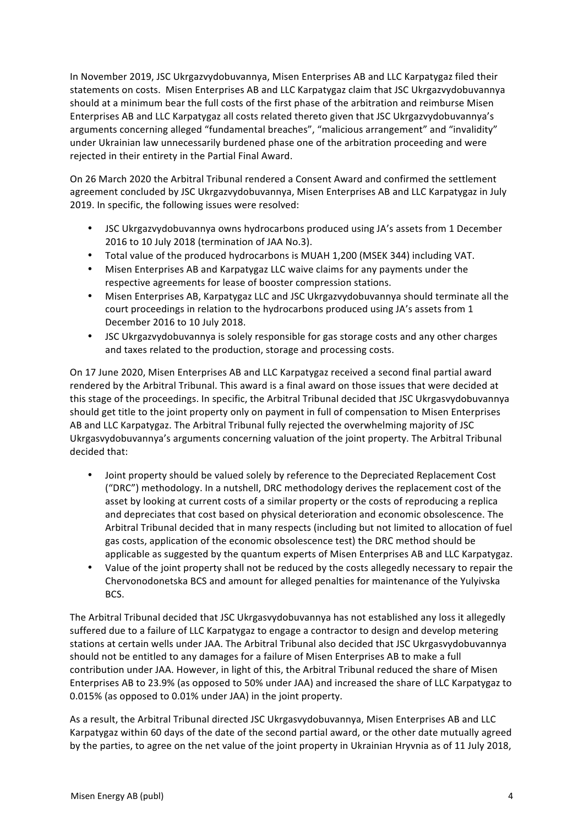In November 2019, JSC Ukrgazvydobuvannya, Misen Enterprises AB and LLC Karpatygaz filed their statements on costs. Misen Enterprises AB and LLC Karpatygaz claim that JSC Ukrgazvydobuvannya should at a minimum bear the full costs of the first phase of the arbitration and reimburse Misen Enterprises AB and LLC Karpatygaz all costs related thereto given that JSC Ukrgazvydobuvannya's arguments concerning alleged "fundamental breaches", "malicious arrangement" and "invalidity" under Ukrainian law unnecessarily burdened phase one of the arbitration proceeding and were rejected in their entirety in the Partial Final Award.

On 26 March 2020 the Arbitral Tribunal rendered a Consent Award and confirmed the settlement agreement concluded by JSC Ukrgazvydobuvannya, Misen Enterprises AB and LLC Karpatygaz in July 2019. In specific, the following issues were resolved:

- JSC Ukrgazvydobuvannya owns hydrocarbons produced using JA's assets from 1 December 2016 to 10 July 2018 (termination of JAA No.3).
- Total value of the produced hydrocarbons is MUAH 1,200 (MSEK 344) including VAT.
- Misen Enterprises AB and Karpatygaz LLC waive claims for any payments under the respective agreements for lease of booster compression stations.
- Misen Enterprises AB, Karpatygaz LLC and JSC Ukrgazvydobuvannya should terminate all the court proceedings in relation to the hydrocarbons produced using JA's assets from 1 December 2016 to 10 July 2018.
- JSC Ukrgazvydobuvannya is solely responsible for gas storage costs and any other charges and taxes related to the production, storage and processing costs.

On 17 June 2020, Misen Enterprises AB and LLC Karpatygaz received a second final partial award rendered by the Arbitral Tribunal. This award is a final award on those issues that were decided at this stage of the proceedings. In specific, the Arbitral Tribunal decided that JSC Ukrgasvydobuvannya should get title to the joint property only on payment in full of compensation to Misen Enterprises AB and LLC Karpatygaz. The Arbitral Tribunal fully rejected the overwhelming majority of JSC Ukrgasvydobuvannya's arguments concerning valuation of the joint property. The Arbitral Tribunal decided that:

- Joint property should be valued solely by reference to the Depreciated Replacement Cost ("DRC") methodology. In a nutshell, DRC methodology derives the replacement cost of the asset by looking at current costs of a similar property or the costs of reproducing a replica and depreciates that cost based on physical deterioration and economic obsolescence. The Arbitral Tribunal decided that in many respects (including but not limited to allocation of fuel gas costs, application of the economic obsolescence test) the DRC method should be applicable as suggested by the quantum experts of Misen Enterprises AB and LLC Karpatygaz.
- Value of the joint property shall not be reduced by the costs allegedly necessary to repair the Chervonodonetska BCS and amount for alleged penalties for maintenance of the Yulyivska BCS.

The Arbitral Tribunal decided that JSC Ukrgasvydobuvannya has not established any loss it allegedly suffered due to a failure of LLC Karpatygaz to engage a contractor to design and develop metering stations at certain wells under JAA. The Arbitral Tribunal also decided that JSC Ukrgasvydobuvannya should not be entitled to any damages for a failure of Misen Enterprises AB to make a full contribution under JAA. However, in light of this, the Arbitral Tribunal reduced the share of Misen Enterprises AB to 23.9% (as opposed to 50% under JAA) and increased the share of LLC Karpatygaz to 0.015% (as opposed to 0.01% under JAA) in the joint property.

As a result, the Arbitral Tribunal directed JSC Ukrgasvydobuvannya, Misen Enterprises AB and LLC Karpatygaz within 60 days of the date of the second partial award, or the other date mutually agreed by the parties, to agree on the net value of the joint property in Ukrainian Hryvnia as of 11 July 2018,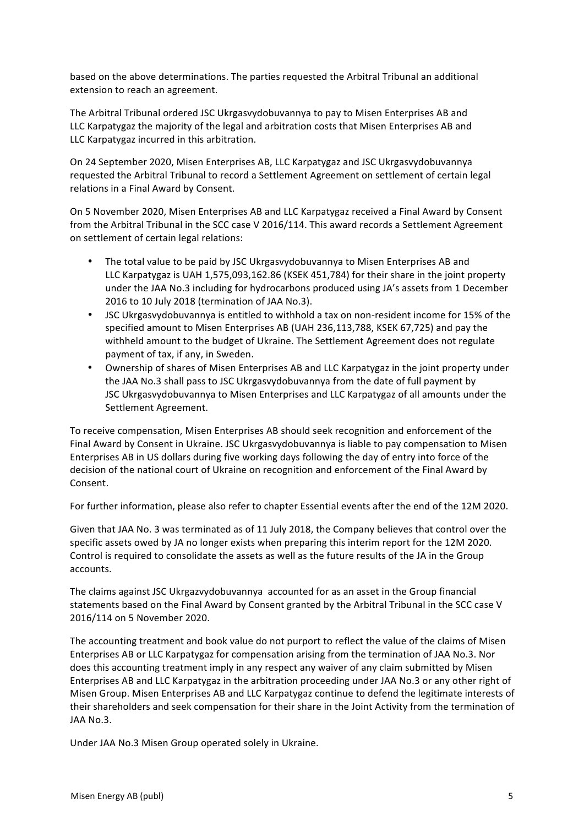based on the above determinations. The parties requested the Arbitral Tribunal an additional extension to reach an agreement.

The Arbitral Tribunal ordered JSC Ukrgasvydobuvannya to pay to Misen Enterprises AB and LLC Karpatygaz the majority of the legal and arbitration costs that Misen Enterprises AB and LLC Karpatygaz incurred in this arbitration.

On 24 September 2020, Misen Enterprises AB, LLC Karpatygaz and JSC Ukrgasvydobuvannya requested the Arbitral Tribunal to record a Settlement Agreement on settlement of certain legal relations in a Final Award by Consent.

On 5 November 2020, Misen Enterprises AB and LLC Karpatygaz received a Final Award by Consent from the Arbitral Tribunal in the SCC case V 2016/114. This award records a Settlement Agreement on settlement of certain legal relations:

- The total value to be paid by JSC Ukrgasvydobuvannya to Misen Enterprises AB and LLC Karpatygaz is UAH 1,575,093,162.86 (KSEK 451,784) for their share in the joint property under the JAA No.3 including for hydrocarbons produced using JA's assets from 1 December 2016 to 10 July 2018 (termination of JAA No.3).
- JSC Ukrgasvydobuvannya is entitled to withhold a tax on non-resident income for 15% of the specified amount to Misen Enterprises AB (UAH 236,113,788, KSEK 67,725) and pay the withheld amount to the budget of Ukraine. The Settlement Agreement does not regulate payment of tax, if any, in Sweden.
- Ownership of shares of Misen Enterprises AB and LLC Karpatygaz in the joint property under the JAA No.3 shall pass to JSC Ukrgasvydobuvannya from the date of full payment by JSC Ukrgasvydobuvannya to Misen Enterprises and LLC Karpatygaz of all amounts under the Settlement Agreement.

To receive compensation, Misen Enterprises AB should seek recognition and enforcement of the Final Award by Consent in Ukraine. JSC Ukrgasvydobuvannya is liable to pay compensation to Misen Enterprises AB in US dollars during five working days following the day of entry into force of the decision of the national court of Ukraine on recognition and enforcement of the Final Award by Consent.

For further information, please also refer to chapter Essential events after the end of the 12M 2020.

Given that JAA No. 3 was terminated as of 11 July 2018, the Company believes that control over the specific assets owed by JA no longer exists when preparing this interim report for the 12M 2020. Control is required to consolidate the assets as well as the future results of the JA in the Group accounts.

The claims against JSC Ukrgazvydobuvannya accounted for as an asset in the Group financial statements based on the Final Award by Consent granted by the Arbitral Tribunal in the SCC case V 2016/114 on 5 November 2020.

The accounting treatment and book value do not purport to reflect the value of the claims of Misen Enterprises AB or LLC Karpatygaz for compensation arising from the termination of JAA No.3. Nor does this accounting treatment imply in any respect any waiver of any claim submitted by Misen Enterprises AB and LLC Karpatygaz in the arbitration proceeding under JAA No.3 or any other right of Misen Group. Misen Enterprises AB and LLC Karpatygaz continue to defend the legitimate interests of their shareholders and seek compensation for their share in the Joint Activity from the termination of JAA No.3.

Under JAA No.3 Misen Group operated solely in Ukraine.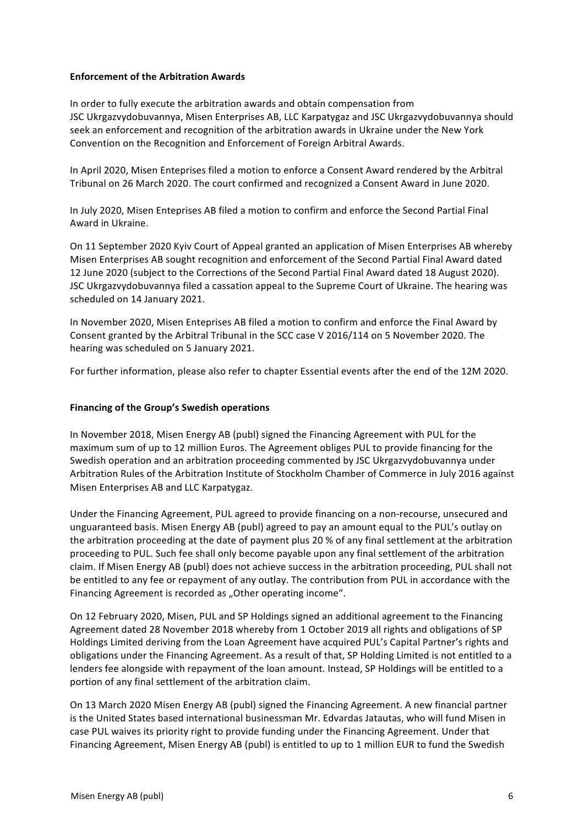# **Enforcement of the Arbitration Awards**

In order to fully execute the arbitration awards and obtain compensation from JSC Ukrgazvydobuvannya, Misen Enterprises AB, LLC Karpatygaz and JSC Ukrgazvydobuvannya should seek an enforcement and recognition of the arbitration awards in Ukraine under the New York Convention on the Recognition and Enforcement of Foreign Arbitral Awards.

In April 2020, Misen Enteprises filed a motion to enforce a Consent Award rendered by the Arbitral Tribunal on 26 March 2020. The court confirmed and recognized a Consent Award in June 2020.

In July 2020, Misen Enteprises AB filed a motion to confirm and enforce the Second Partial Final Award in Ukraine.

On 11 September 2020 Kyiv Court of Appeal granted an application of Misen Enterprises AB whereby Misen Enterprises AB sought recognition and enforcement of the Second Partial Final Award dated 12 June 2020 (subject to the Corrections of the Second Partial Final Award dated 18 August 2020). JSC Ukrgazvydobuvannya filed a cassation appeal to the Supreme Court of Ukraine. The hearing was scheduled on 14 January 2021.

In November 2020, Misen Enteprises AB filed a motion to confirm and enforce the Final Award by Consent granted by the Arbitral Tribunal in the SCC case V 2016/114 on 5 November 2020. The hearing was scheduled on 5 January 2021.

For further information, please also refer to chapter Essential events after the end of the 12M 2020.

### **Financing of the Group's Swedish operations**

In November 2018, Misen Energy AB (publ) signed the Financing Agreement with PUL for the maximum sum of up to 12 million Euros. The Agreement obliges PUL to provide financing for the Swedish operation and an arbitration proceeding commented by JSC Ukrgazvydobuvannya under Arbitration Rules of the Arbitration Institute of Stockholm Chamber of Commerce in July 2016 against Misen Enterprises AB and LLC Karpatygaz.

Under the Financing Agreement, PUL agreed to provide financing on a non-recourse, unsecured and unguaranteed basis. Misen Energy AB (publ) agreed to pay an amount equal to the PUL's outlay on the arbitration proceeding at the date of payment plus 20 % of any final settlement at the arbitration proceeding to PUL. Such fee shall only become payable upon any final settlement of the arbitration claim. If Misen Energy AB (publ) does not achieve success in the arbitration proceeding, PUL shall not be entitled to any fee or repayment of any outlay. The contribution from PUL in accordance with the Financing Agreement is recorded as "Other operating income".

On 12 February 2020, Misen, PUL and SP Holdings signed an additional agreement to the Financing Agreement dated 28 November 2018 whereby from 1 October 2019 all rights and obligations of SP Holdings Limited deriving from the Loan Agreement have acquired PUL's Capital Partner's rights and obligations under the Financing Agreement. As a result of that, SP Holding Limited is not entitled to a lenders fee alongside with repayment of the loan amount. Instead, SP Holdings will be entitled to a portion of any final settlement of the arbitration claim.

On 13 March 2020 Misen Energy AB (publ) signed the Financing Agreement. A new financial partner is the United States based international businessman Mr. Edvardas Jatautas, who will fund Misen in case PUL waives its priority right to provide funding under the Financing Agreement. Under that Financing Agreement, Misen Energy AB (publ) is entitled to up to 1 million EUR to fund the Swedish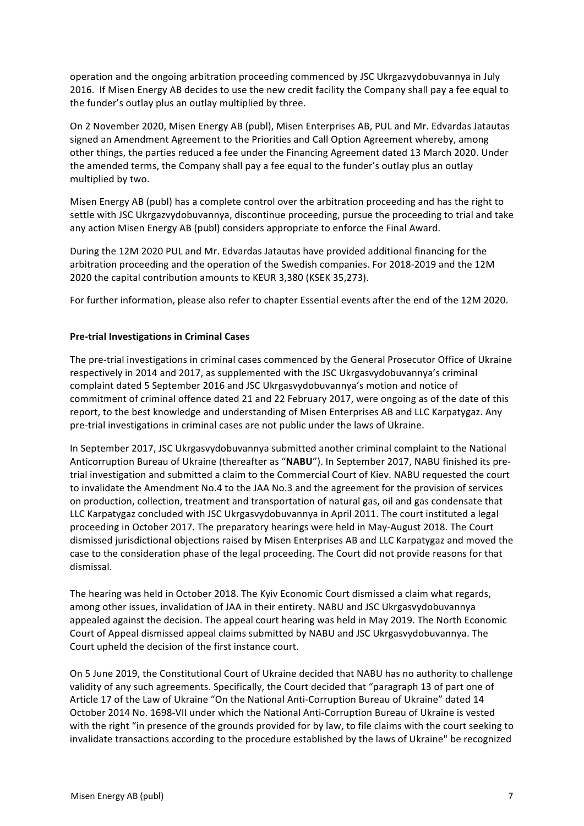operation and the ongoing arbitration proceeding commenced by JSC Ukrgazvydobuvannya in July 2016. If Misen Energy AB decides to use the new credit facility the Company shall pay a fee equal to the funder's outlay plus an outlay multiplied by three.

On 2 November 2020, Misen Energy AB (publ), Misen Enterprises AB, PUL and Mr. Edvardas Jatautas signed an Amendment Agreement to the Priorities and Call Option Agreement whereby, among other things, the parties reduced a fee under the Financing Agreement dated 13 March 2020. Under the amended terms, the Company shall pay a fee equal to the funder's outlay plus an outlay multiplied by two.

Misen Energy AB (publ) has a complete control over the arbitration proceeding and has the right to settle with JSC Ukrgazvydobuvannya, discontinue proceeding, pursue the proceeding to trial and take any action Misen Energy AB (publ) considers appropriate to enforce the Final Award.

During the 12M 2020 PUL and Mr. Edvardas Jatautas have provided additional financing for the arbitration proceeding and the operation of the Swedish companies. For 2018-2019 and the 12M 2020 the capital contribution amounts to KEUR 3,380 (KSEK 35,273).

For further information, please also refer to chapter Essential events after the end of the 12M 2020.

# **Pre-trial Investigations in Criminal Cases**

The pre-trial investigations in criminal cases commenced by the General Prosecutor Office of Ukraine respectively in 2014 and 2017, as supplemented with the JSC Ukrgasvydobuvannya's criminal complaint dated 5 September 2016 and JSC Ukrgasvydobuvannya's motion and notice of commitment of criminal offence dated 21 and 22 February 2017, were ongoing as of the date of this report, to the best knowledge and understanding of Misen Enterprises AB and LLC Karpatygaz. Any pre-trial investigations in criminal cases are not public under the laws of Ukraine.

In September 2017, JSC Ukrgasvydobuvannya submitted another criminal complaint to the National Anticorruption Bureau of Ukraine (thereafter as "NABU"). In September 2017, NABU finished its pretrial investigation and submitted a claim to the Commercial Court of Kiev. NABU requested the court to invalidate the Amendment No.4 to the JAA No.3 and the agreement for the provision of services on production, collection, treatment and transportation of natural gas, oil and gas condensate that LLC Karpatygaz concluded with JSC Ukrgasvydobuvannya in April 2011. The court instituted a legal proceeding in October 2017. The preparatory hearings were held in May-August 2018. The Court dismissed jurisdictional objections raised by Misen Enterprises AB and LLC Karpatygaz and moved the case to the consideration phase of the legal proceeding. The Court did not provide reasons for that dismissal.

The hearing was held in October 2018. The Kyiv Economic Court dismissed a claim what regards, among other issues, invalidation of JAA in their entirety. NABU and JSC Ukrgasvydobuvannya appealed against the decision. The appeal court hearing was held in May 2019. The North Economic Court of Appeal dismissed appeal claims submitted by NABU and JSC Ukrgasvydobuvannya. The Court upheld the decision of the first instance court.

On 5 June 2019, the Constitutional Court of Ukraine decided that NABU has no authority to challenge validity of any such agreements. Specifically, the Court decided that "paragraph 13 of part one of Article 17 of the Law of Ukraine "On the National Anti-Corruption Bureau of Ukraine" dated 14 October 2014 No. 1698-VII under which the National Anti-Corruption Bureau of Ukraine is vested with the right "in presence of the grounds provided for by law, to file claims with the court seeking to invalidate transactions according to the procedure established by the laws of Ukraine" be recognized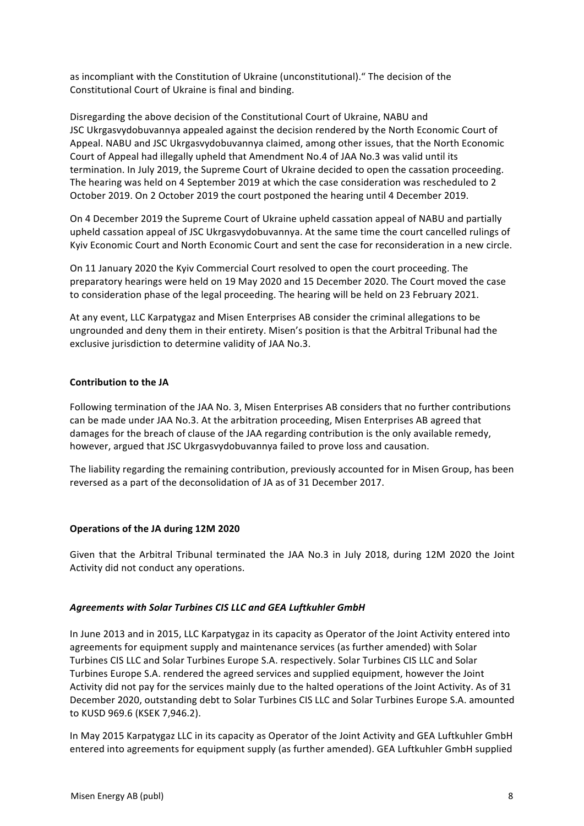as incompliant with the Constitution of Ukraine (unconstitutional)." The decision of the Constitutional Court of Ukraine is final and binding.

Disregarding the above decision of the Constitutional Court of Ukraine, NABU and JSC Ukrgasvydobuvannya appealed against the decision rendered by the North Economic Court of Appeal. NABU and JSC Ukrgasvydobuvannya claimed, among other issues, that the North Economic Court of Appeal had illegally upheld that Amendment No.4 of JAA No.3 was valid until its termination. In July 2019, the Supreme Court of Ukraine decided to open the cassation proceeding. The hearing was held on 4 September 2019 at which the case consideration was rescheduled to 2 October 2019. On 2 October 2019 the court postponed the hearing until 4 December 2019.

On 4 December 2019 the Supreme Court of Ukraine upheld cassation appeal of NABU and partially upheld cassation appeal of JSC Ukrgasvydobuvannya. At the same time the court cancelled rulings of Kyiv Economic Court and North Economic Court and sent the case for reconsideration in a new circle.

On 11 January 2020 the Kyiv Commercial Court resolved to open the court proceeding. The preparatory hearings were held on 19 May 2020 and 15 December 2020. The Court moved the case to consideration phase of the legal proceeding. The hearing will be held on 23 February 2021.

At any event, LLC Karpatygaz and Misen Enterprises AB consider the criminal allegations to be ungrounded and deny them in their entirety. Misen's position is that the Arbitral Tribunal had the exclusive jurisdiction to determine validity of JAA No.3.

# **Contribution to the JA**

Following termination of the JAA No. 3, Misen Enterprises AB considers that no further contributions can be made under JAA No.3. At the arbitration proceeding, Misen Enterprises AB agreed that damages for the breach of clause of the JAA regarding contribution is the only available remedy, however, argued that JSC Ukrgasvydobuvannya failed to prove loss and causation.

The liability regarding the remaining contribution, previously accounted for in Misen Group, has been reversed as a part of the deconsolidation of JA as of 31 December 2017.

# **Operations of the JA during 12M 2020**

Given that the Arbitral Tribunal terminated the JAA No.3 in July 2018, during 12M 2020 the Joint Activity did not conduct any operations.

# *Agreements with Solar Turbines CIS LLC and GEA Luftkuhler GmbH*

In June 2013 and in 2015, LLC Karpatygaz in its capacity as Operator of the Joint Activity entered into agreements for equipment supply and maintenance services (as further amended) with Solar Turbines CIS LLC and Solar Turbines Europe S.A. respectively. Solar Turbines CIS LLC and Solar Turbines Europe S.A. rendered the agreed services and supplied equipment, however the Joint Activity did not pay for the services mainly due to the halted operations of the Joint Activity. As of 31 December 2020, outstanding debt to Solar Turbines CIS LLC and Solar Turbines Europe S.A. amounted to KUSD 969.6 (KSEK 7,946.2).

In May 2015 Karpatygaz LLC in its capacity as Operator of the Joint Activity and GEA Luftkuhler GmbH entered into agreements for equipment supply (as further amended). GEA Luftkuhler GmbH supplied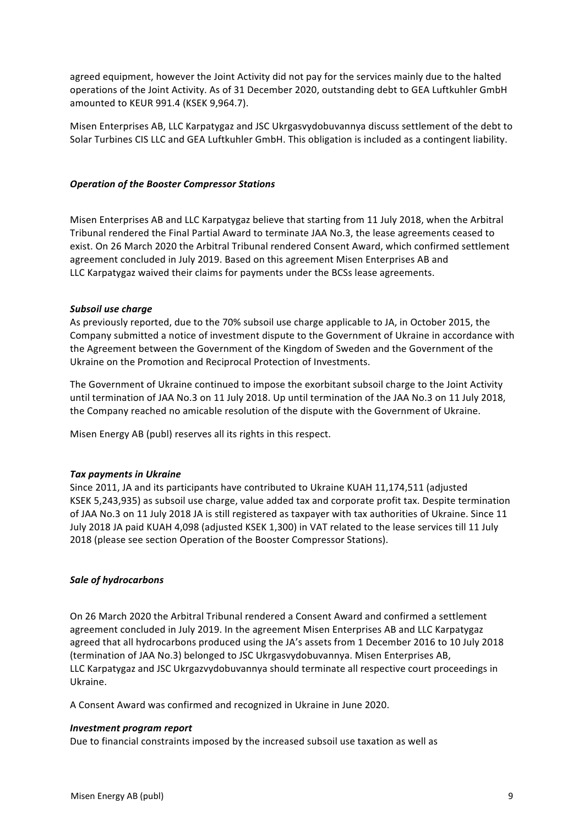agreed equipment, however the Joint Activity did not pay for the services mainly due to the halted operations of the Joint Activity. As of 31 December 2020, outstanding debt to GEA Luftkuhler GmbH amounted to KEUR 991.4 (KSEK 9,964.7).

Misen Enterprises AB, LLC Karpatygaz and JSC Ukrgasvydobuvannya discuss settlement of the debt to Solar Turbines CIS LLC and GEA Luftkuhler GmbH. This obligation is included as a contingent liability.

### *Operation of the Booster Compressor Stations*

Misen Enterprises AB and LLC Karpatygaz believe that starting from 11 July 2018, when the Arbitral Tribunal rendered the Final Partial Award to terminate JAA No.3, the lease agreements ceased to exist. On 26 March 2020 the Arbitral Tribunal rendered Consent Award, which confirmed settlement agreement concluded in July 2019. Based on this agreement Misen Enterprises AB and LLC Karpatygaz waived their claims for payments under the BCSs lease agreements.

#### **Subsoil use charge**

As previously reported, due to the 70% subsoil use charge applicable to JA, in October 2015, the Company submitted a notice of investment dispute to the Government of Ukraine in accordance with the Agreement between the Government of the Kingdom of Sweden and the Government of the Ukraine on the Promotion and Reciprocal Protection of Investments.

The Government of Ukraine continued to impose the exorbitant subsoil charge to the Joint Activity until termination of JAA No.3 on 11 July 2018. Up until termination of the JAA No.3 on 11 July 2018, the Company reached no amicable resolution of the dispute with the Government of Ukraine.

Misen Energy AB (publ) reserves all its rights in this respect.

#### **Tax payments in Ukraine**

Since 2011, JA and its participants have contributed to Ukraine KUAH 11,174,511 (adjusted KSEK 5,243,935) as subsoil use charge, value added tax and corporate profit tax. Despite termination of JAA No.3 on 11 July 2018 JA is still registered as taxpayer with tax authorities of Ukraine. Since 11 July 2018 JA paid KUAH 4,098 (adjusted KSEK 1,300) in VAT related to the lease services till 11 July 2018 (please see section Operation of the Booster Compressor Stations).

# *Sale of hydrocarbons*

On 26 March 2020 the Arbitral Tribunal rendered a Consent Award and confirmed a settlement agreement concluded in July 2019. In the agreement Misen Enterprises AB and LLC Karpatygaz agreed that all hydrocarbons produced using the JA's assets from 1 December 2016 to 10 July 2018 (termination of JAA No.3) belonged to JSC Ukrgasvydobuvannya. Misen Enterprises AB, LLC Karpatygaz and JSC Ukrgazvydobuvannya should terminate all respective court proceedings in Ukraine.

A Consent Award was confirmed and recognized in Ukraine in June 2020.

#### *Investment program report*

Due to financial constraints imposed by the increased subsoil use taxation as well as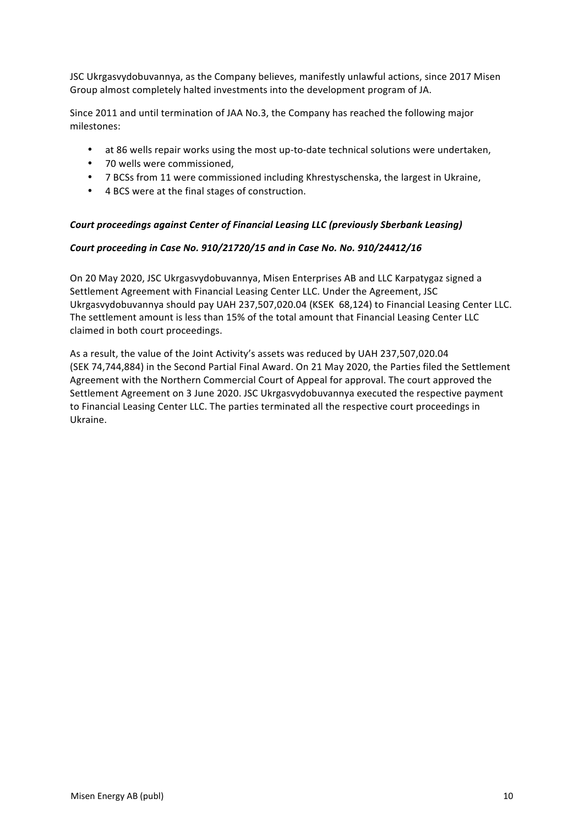JSC Ukrgasvydobuvannya, as the Company believes, manifestly unlawful actions, since 2017 Misen Group almost completely halted investments into the development program of JA.

Since 2011 and until termination of JAA No.3, the Company has reached the following major milestones:

- at 86 wells repair works using the most up-to-date technical solutions were undertaken,
- 70 wells were commissioned,
- 7 BCSs from 11 were commissioned including Khrestyschenska, the largest in Ukraine,
- 4 BCS were at the final stages of construction.

# Court proceedings against Center of Financial Leasing LLC (previously Sberbank Leasing)

# Court proceeding in Case No. 910/21720/15 and in Case No. No. 910/24412/16

On 20 May 2020, JSC Ukrgasvydobuvannya, Misen Enterprises AB and LLC Karpatygaz signed a Settlement Agreement with Financial Leasing Center LLC. Under the Agreement, JSC Ukrgasvydobuvannya should pay UAH 237,507,020.04 (KSEK 68,124) to Financial Leasing Center LLC. The settlement amount is less than 15% of the total amount that Financial Leasing Center LLC claimed in both court proceedings.

As a result, the value of the Joint Activity's assets was reduced by UAH 237,507,020.04 (SEK 74,744,884) in the Second Partial Final Award. On 21 May 2020, the Parties filed the Settlement Agreement with the Northern Commercial Court of Appeal for approval. The court approved the Settlement Agreement on 3 June 2020. JSC Ukrgasvydobuvannya executed the respective payment to Financial Leasing Center LLC. The parties terminated all the respective court proceedings in Ukraine.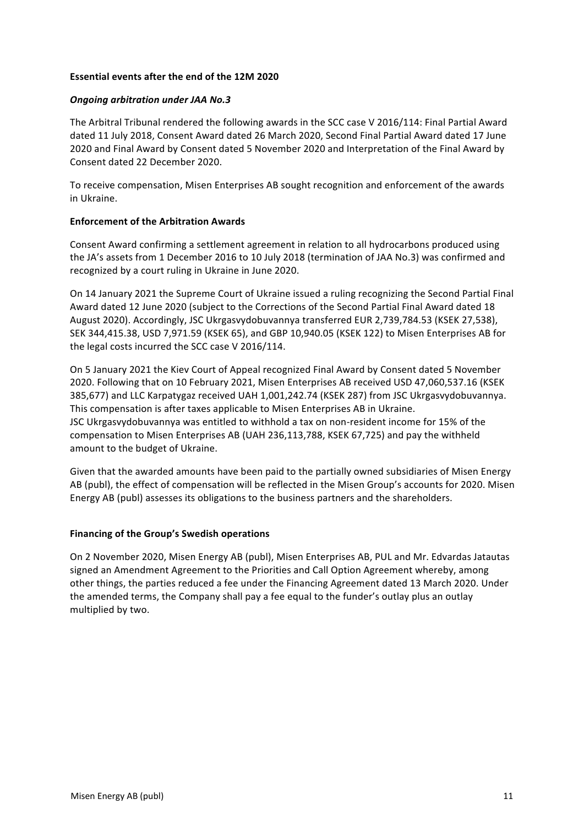# **Essential events after the end of the 12M 2020**

# *Ongoing arbitration under JAA No.3*

The Arbitral Tribunal rendered the following awards in the SCC case V 2016/114: Final Partial Award dated 11 July 2018, Consent Award dated 26 March 2020, Second Final Partial Award dated 17 June 2020 and Final Award by Consent dated 5 November 2020 and Interpretation of the Final Award by Consent dated 22 December 2020.

To receive compensation, Misen Enterprises AB sought recognition and enforcement of the awards in Ukraine.

# **Enforcement of the Arbitration Awards**

Consent Award confirming a settlement agreement in relation to all hydrocarbons produced using the JA's assets from 1 December 2016 to 10 July 2018 (termination of JAA No.3) was confirmed and recognized by a court ruling in Ukraine in June 2020.

On 14 January 2021 the Supreme Court of Ukraine issued a ruling recognizing the Second Partial Final Award dated 12 June 2020 (subject to the Corrections of the Second Partial Final Award dated 18 August 2020). Accordingly, JSC Ukrgasvydobuvannya transferred EUR 2,739,784.53 (KSEK 27,538), SEK 344,415.38, USD 7,971.59 (KSEK 65), and GBP 10,940.05 (KSEK 122) to Misen Enterprises AB for the legal costs incurred the SCC case  $V$  2016/114.

On 5 January 2021 the Kiev Court of Appeal recognized Final Award by Consent dated 5 November 2020. Following that on 10 February 2021, Misen Enterprises AB received USD 47,060,537.16 (KSEK 385,677) and LLC Karpatygaz received UAH 1,001,242.74 (KSEK 287) from JSC Ukrgasvydobuvannya. This compensation is after taxes applicable to Misen Enterprises AB in Ukraine. JSC Ukrgasvydobuvannya was entitled to withhold a tax on non-resident income for 15% of the compensation to Misen Enterprises AB (UAH 236,113,788, KSEK 67,725) and pay the withheld amount to the budget of Ukraine.

Given that the awarded amounts have been paid to the partially owned subsidiaries of Misen Energy AB (publ), the effect of compensation will be reflected in the Misen Group's accounts for 2020. Misen Energy AB (publ) assesses its obligations to the business partners and the shareholders.

# **Financing of the Group's Swedish operations**

On 2 November 2020, Misen Energy AB (publ), Misen Enterprises AB, PUL and Mr. Edvardas Jatautas signed an Amendment Agreement to the Priorities and Call Option Agreement whereby, among other things, the parties reduced a fee under the Financing Agreement dated 13 March 2020. Under the amended terms, the Company shall pay a fee equal to the funder's outlay plus an outlay multiplied by two.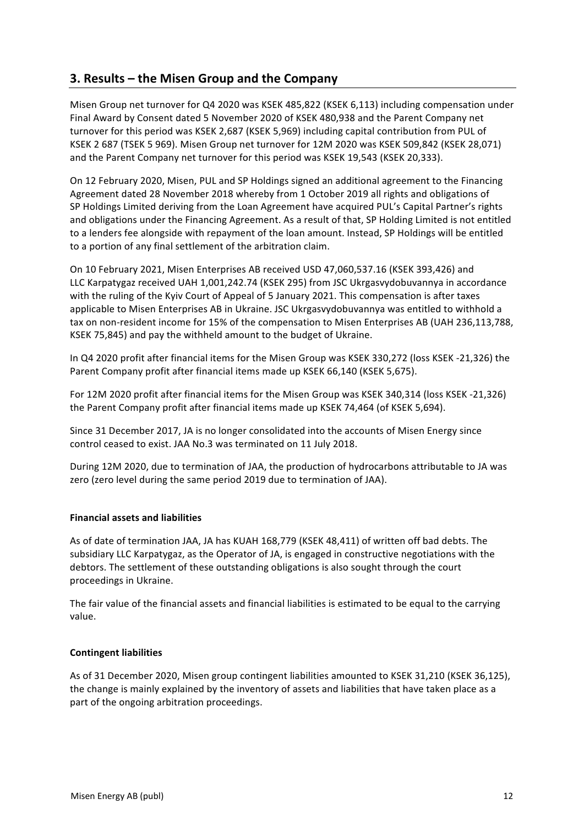# **3. Results – the Misen Group and the Company**

Misen Group net turnover for Q4 2020 was KSEK 485,822 (KSEK 6,113) including compensation under Final Award by Consent dated 5 November 2020 of KSEK 480,938 and the Parent Company net turnover for this period was KSEK 2,687 (KSEK 5,969) including capital contribution from PUL of KSEK 2 687 (TSEK 5 969). Misen Group net turnover for 12M 2020 was KSEK 509,842 (KSEK 28,071) and the Parent Company net turnover for this period was KSEK 19,543 (KSEK 20,333).

On 12 February 2020, Misen, PUL and SP Holdings signed an additional agreement to the Financing Agreement dated 28 November 2018 whereby from 1 October 2019 all rights and obligations of SP Holdings Limited deriving from the Loan Agreement have acquired PUL's Capital Partner's rights and obligations under the Financing Agreement. As a result of that, SP Holding Limited is not entitled to a lenders fee alongside with repayment of the loan amount. Instead, SP Holdings will be entitled to a portion of any final settlement of the arbitration claim.

On 10 February 2021, Misen Enterprises AB received USD 47,060,537.16 (KSEK 393,426) and LLC Karpatygaz received UAH 1,001,242.74 (KSEK 295) from JSC Ukrgasvydobuvannya in accordance with the ruling of the Kyiv Court of Appeal of 5 January 2021. This compensation is after taxes applicable to Misen Enterprises AB in Ukraine. JSC Ukrgasvydobuvannya was entitled to withhold a tax on non-resident income for 15% of the compensation to Misen Enterprises AB (UAH 236,113,788, KSEK 75,845) and pay the withheld amount to the budget of Ukraine.

In Q4 2020 profit after financial items for the Misen Group was KSEK 330,272 (loss KSEK -21,326) the Parent Company profit after financial items made up KSEK 66,140 (KSEK 5,675).

For 12M 2020 profit after financial items for the Misen Group was KSEK 340,314 (loss KSEK -21,326) the Parent Company profit after financial items made up KSEK 74,464 (of KSEK 5,694).

Since 31 December 2017, JA is no longer consolidated into the accounts of Misen Energy since control ceased to exist. JAA No.3 was terminated on 11 July 2018.

During 12M 2020, due to termination of JAA, the production of hydrocarbons attributable to JA was zero (zero level during the same period 2019 due to termination of JAA).

# **Financial assets and liabilities**

As of date of termination JAA, JA has KUAH 168,779 (KSEK 48,411) of written off bad debts. The subsidiary LLC Karpatygaz, as the Operator of JA, is engaged in constructive negotiations with the debtors. The settlement of these outstanding obligations is also sought through the court proceedings in Ukraine.

The fair value of the financial assets and financial liabilities is estimated to be equal to the carrying value.

# **Contingent liabilities**

As of 31 December 2020, Misen group contingent liabilities amounted to KSEK 31,210 (KSEK 36,125), the change is mainly explained by the inventory of assets and liabilities that have taken place as a part of the ongoing arbitration proceedings.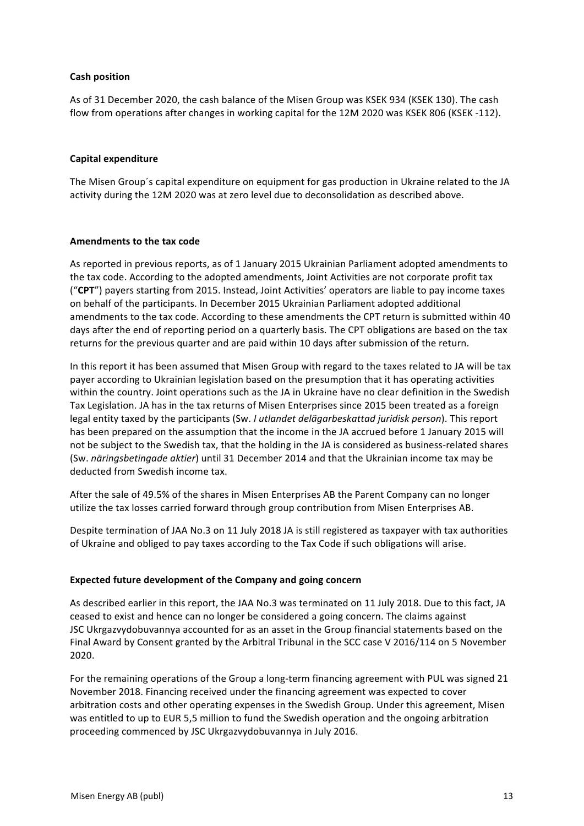# **Cash position**

As of 31 December 2020, the cash balance of the Misen Group was KSEK 934 (KSEK 130). The cash flow from operations after changes in working capital for the 12M 2020 was KSEK 806 (KSEK -112).

### **Capital expenditure**

The Misen Group's capital expenditure on equipment for gas production in Ukraine related to the JA activity during the 12M 2020 was at zero level due to deconsolidation as described above.

### **Amendments to the tax code**

As reported in previous reports, as of 1 January 2015 Ukrainian Parliament adopted amendments to the tax code. According to the adopted amendments, Joint Activities are not corporate profit tax ("CPT") payers starting from 2015. Instead, Joint Activities' operators are liable to pay income taxes on behalf of the participants. In December 2015 Ukrainian Parliament adopted additional amendments to the tax code. According to these amendments the CPT return is submitted within 40 days after the end of reporting period on a quarterly basis. The CPT obligations are based on the tax returns for the previous quarter and are paid within 10 days after submission of the return.

In this report it has been assumed that Misen Group with regard to the taxes related to JA will be tax payer according to Ukrainian legislation based on the presumption that it has operating activities within the country. Joint operations such as the JA in Ukraine have no clear definition in the Swedish Tax Legislation. JA has in the tax returns of Misen Enterprises since 2015 been treated as a foreign legal entity taxed by the participants (Sw. *I utlandet delägarbeskattad juridisk person*). This report has been prepared on the assumption that the income in the JA accrued before 1 January 2015 will not be subject to the Swedish tax, that the holding in the JA is considered as business-related shares (Sw. *näringsbetingade aktier*) until 31 December 2014 and that the Ukrainian income tax may be deducted from Swedish income tax.

After the sale of 49.5% of the shares in Misen Enterprises AB the Parent Company can no longer utilize the tax losses carried forward through group contribution from Misen Enterprises AB.

Despite termination of JAA No.3 on 11 July 2018 JA is still registered as taxpayer with tax authorities of Ukraine and obliged to pay taxes according to the Tax Code if such obligations will arise.

#### **Expected future development of the Company and going concern**

As described earlier in this report, the JAA No.3 was terminated on 11 July 2018. Due to this fact, JA ceased to exist and hence can no longer be considered a going concern. The claims against JSC Ukrgazvydobuvannya accounted for as an asset in the Group financial statements based on the Final Award by Consent granted by the Arbitral Tribunal in the SCC case V 2016/114 on 5 November 2020.

For the remaining operations of the Group a long-term financing agreement with PUL was signed 21 November 2018. Financing received under the financing agreement was expected to cover arbitration costs and other operating expenses in the Swedish Group. Under this agreement, Misen was entitled to up to EUR 5,5 million to fund the Swedish operation and the ongoing arbitration proceeding commenced by JSC Ukrgazvydobuvannya in July 2016.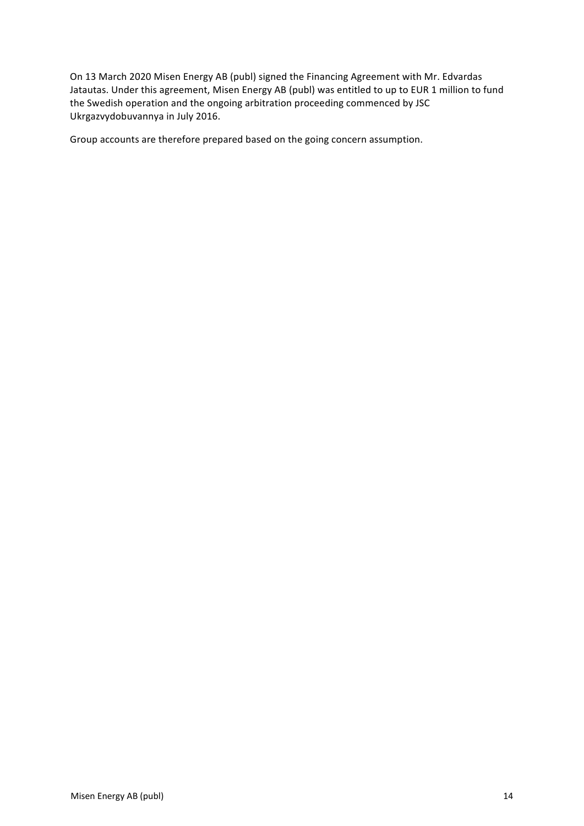On 13 March 2020 Misen Energy AB (publ) signed the Financing Agreement with Mr. Edvardas Jatautas. Under this agreement, Misen Energy AB (publ) was entitled to up to EUR 1 million to fund the Swedish operation and the ongoing arbitration proceeding commenced by JSC Ukrgazvydobuvannya in July 2016.

Group accounts are therefore prepared based on the going concern assumption.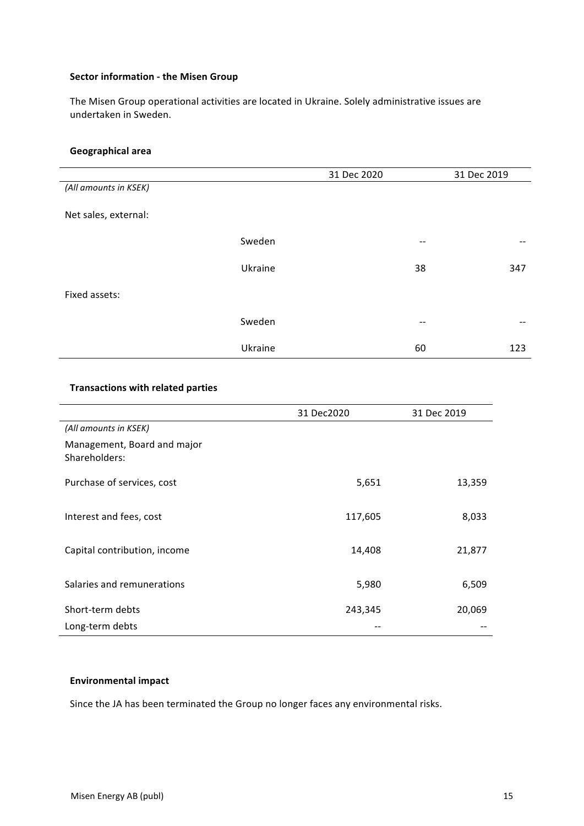### **Sector information - the Misen Group**

The Misen Group operational activities are located in Ukraine. Solely administrative issues are undertaken in Sweden.

### **Geographical area**

|                       |         | 31 Dec 2020 |    | 31 Dec 2019 |
|-----------------------|---------|-------------|----|-------------|
| (All amounts in KSEK) |         |             |    |             |
| Net sales, external:  |         |             |    |             |
|                       | Sweden  |             | -- |             |
|                       | Ukraine |             | 38 | 347         |
| Fixed assets:         |         |             |    |             |
|                       | Sweden  |             | -- | --          |
|                       | Ukraine |             | 60 | 123         |

# **Transactions with related parties**

|                                              | 31 Dec2020 | 31 Dec 2019 |
|----------------------------------------------|------------|-------------|
| (All amounts in KSEK)                        |            |             |
| Management, Board and major<br>Shareholders: |            |             |
| Purchase of services, cost                   | 5,651      | 13,359      |
| Interest and fees, cost                      | 117,605    | 8,033       |
| Capital contribution, income                 | 14,408     | 21,877      |
| Salaries and remunerations                   | 5,980      | 6,509       |
| Short-term debts                             | 243,345    | 20,069      |
| Long-term debts                              |            |             |

### **Environmental impact**

Since the JA has been terminated the Group no longer faces any environmental risks.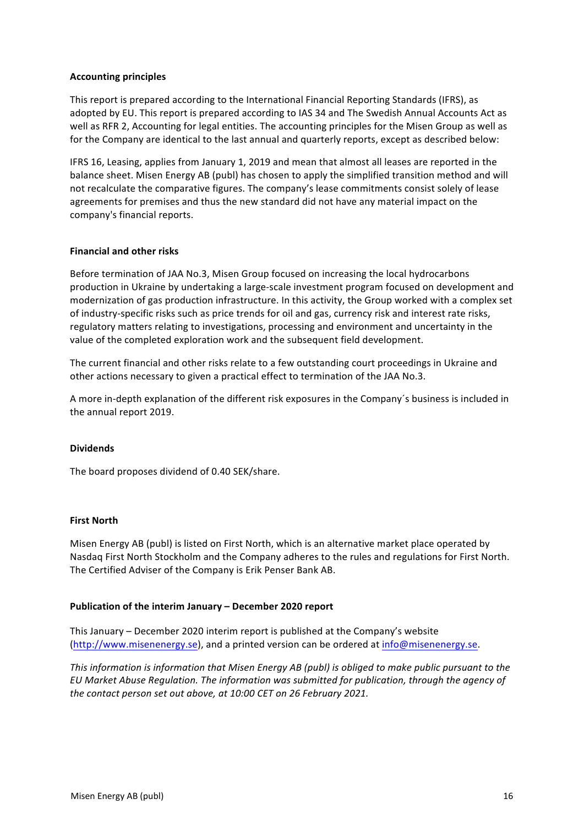# **Accounting principles**

This report is prepared according to the International Financial Reporting Standards (IFRS), as adopted by EU. This report is prepared according to IAS 34 and The Swedish Annual Accounts Act as well as RFR 2, Accounting for legal entities. The accounting principles for the Misen Group as well as for the Company are identical to the last annual and quarterly reports, except as described below:

IFRS 16, Leasing, applies from January 1, 2019 and mean that almost all leases are reported in the balance sheet. Misen Energy AB (publ) has chosen to apply the simplified transition method and will not recalculate the comparative figures. The company's lease commitments consist solely of lease agreements for premises and thus the new standard did not have any material impact on the company's financial reports.

### **Financial and other risks**

Before termination of JAA No.3, Misen Group focused on increasing the local hydrocarbons production in Ukraine by undertaking a large-scale investment program focused on development and modernization of gas production infrastructure. In this activity, the Group worked with a complex set of industry-specific risks such as price trends for oil and gas, currency risk and interest rate risks, regulatory matters relating to investigations, processing and environment and uncertainty in the value of the completed exploration work and the subsequent field development.

The current financial and other risks relate to a few outstanding court proceedings in Ukraine and other actions necessary to given a practical effect to termination of the JAA No.3.

A more in-depth explanation of the different risk exposures in the Company's business is included in the annual report 2019.

#### **Dividends**

The board proposes dividend of 0.40 SEK/share.

#### **First North**

Misen Energy AB (publ) is listed on First North, which is an alternative market place operated by Nasdaq First North Stockholm and the Company adheres to the rules and regulations for First North. The Certified Adviser of the Company is Erik Penser Bank AB.

#### **Publication of the interim January - December 2020 report**

This January – December 2020 interim report is published at the Company's website (http://www.misenenergy.se), and a printed version can be ordered at info@misenenergy.se.

*This information is information that Misen Energy AB (publ)* is obliged to make public pursuant to the EU Market Abuse Regulation. The information was submitted for publication, through the agency of *the contact person set out above, at 10:00 CET on 26 February 2021.*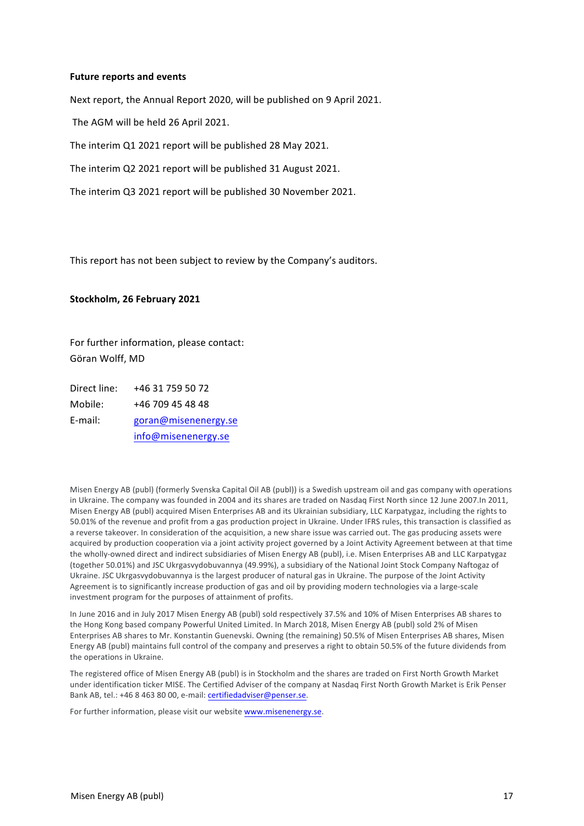#### **Future reports and events**

Next report, the Annual Report 2020, will be published on 9 April 2021.

The AGM will be held 26 April 2021.

The interim Q1 2021 report will be published 28 May 2021.

The interim Q2 2021 report will be published 31 August 2021.

The interim Q3 2021 report will be published 30 November 2021.

This report has not been subject to review by the Company's auditors.

#### **Stockholm, 26 February 2021**

For further information, please contact: Göran Wolff, MD

Direct line: +46 31 759 50 72 Mobile: +46 709 45 48 48 E-mail: goran@misenenergy.se info@misenenergy.se

Misen Energy AB (publ) (formerly Svenska Capital Oil AB (publ)) is a Swedish upstream oil and gas company with operations in Ukraine. The company was founded in 2004 and its shares are traded on Nasdaq First North since 12 June 2007.In 2011, Misen Energy AB (publ) acquired Misen Enterprises AB and its Ukrainian subsidiary, LLC Karpatygaz, including the rights to 50.01% of the revenue and profit from a gas production project in Ukraine. Under IFRS rules, this transaction is classified as a reverse takeover. In consideration of the acquisition, a new share issue was carried out. The gas producing assets were acquired by production cooperation via a joint activity project governed by a Joint Activity Agreement between at that time the wholly-owned direct and indirect subsidiaries of Misen Energy AB (publ), i.e. Misen Enterprises AB and LLC Karpatygaz (together 50.01%) and JSC Ukrgasvydobuvannya (49.99%), a subsidiary of the National Joint Stock Company Naftogaz of Ukraine. JSC Ukrgasvydobuvannya is the largest producer of natural gas in Ukraine. The purpose of the Joint Activity Agreement is to significantly increase production of gas and oil by providing modern technologies via a large-scale investment program for the purposes of attainment of profits.

In June 2016 and in July 2017 Misen Energy AB (publ) sold respectively 37.5% and 10% of Misen Enterprises AB shares to the Hong Kong based company Powerful United Limited. In March 2018, Misen Energy AB (publ) sold 2% of Misen Enterprises AB shares to Mr. Konstantin Guenevski. Owning (the remaining) 50.5% of Misen Enterprises AB shares, Misen Energy AB (publ) maintains full control of the company and preserves a right to obtain 50.5% of the future dividends from the operations in Ukraine.

The registered office of Misen Energy AB (publ) is in Stockholm and the shares are traded on First North Growth Market under identification ticker MISE. The Certified Adviser of the company at Nasdaq First North Growth Market is Erik Penser Bank AB, tel.: +46 8 463 80 00, e-mail: certifiedadviser@penser.se.

For further information, please visit our website www.misenenergy.se.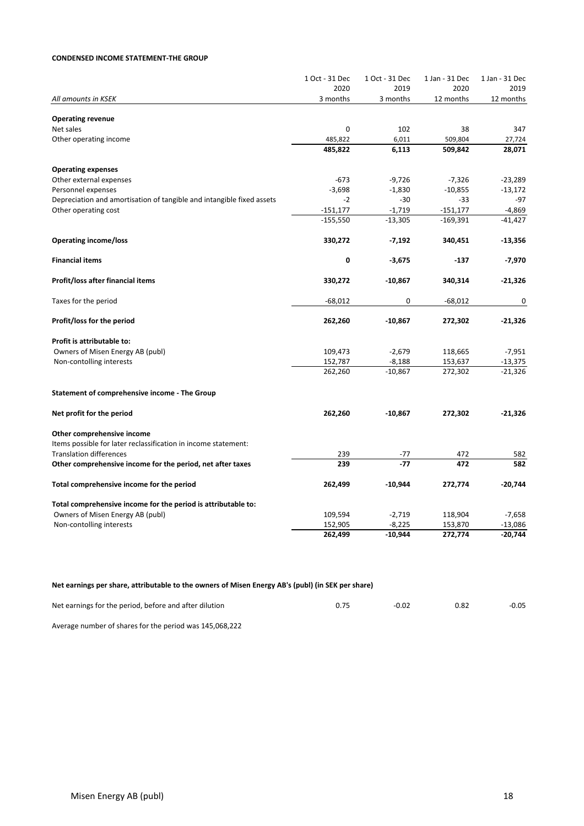#### **CONDENSED INCOME STATEMENT-THE GROUP**

|                                                                       | 1 Oct - 31 Dec<br>2020 | 1 Oct - 31 Dec<br>2019 | 1 Jan - 31 Dec<br>2020 | 1 Jan - 31 Dec<br>2019 |
|-----------------------------------------------------------------------|------------------------|------------------------|------------------------|------------------------|
| All amounts in KSEK                                                   | 3 months               | 3 months               | 12 months              | 12 months              |
|                                                                       |                        |                        |                        |                        |
| <b>Operating revenue</b>                                              |                        |                        |                        |                        |
| Net sales                                                             | $\mathbf 0$            | 102                    | 38                     | 347                    |
| Other operating income                                                | 485,822                | 6,011                  | 509,804                | 27,724                 |
|                                                                       | 485,822                | 6,113                  | 509,842                | 28,071                 |
| <b>Operating expenses</b>                                             |                        |                        |                        |                        |
| Other external expenses                                               | $-673$                 | $-9,726$               | $-7,326$               | $-23,289$              |
| Personnel expenses                                                    | $-3,698$               | $-1,830$               | $-10,855$              | $-13,172$              |
| Depreciation and amortisation of tangible and intangible fixed assets | $-2$                   | $-30$                  | $-33$                  | $-97$                  |
| Other operating cost                                                  | $-151,177$             | $-1,719$               | $-151,177$             | $-4,869$               |
|                                                                       | $-155,550$             | $-13,305$              | $-169,391$             | $-41,427$              |
| <b>Operating income/loss</b>                                          | 330,272                | $-7,192$               | 340,451                | $-13,356$              |
| <b>Financial items</b>                                                | 0                      | $-3,675$               | $-137$                 | $-7,970$               |
| Profit/loss after financial items                                     | 330,272                | $-10,867$              | 340,314                | $-21,326$              |
| Taxes for the period                                                  | $-68,012$              | 0                      | $-68,012$              | 0                      |
| Profit/loss for the period                                            | 262,260                | $-10,867$              | 272,302                | $-21,326$              |
| Profit is attributable to:                                            |                        |                        |                        |                        |
| Owners of Misen Energy AB (publ)                                      | 109,473                | $-2,679$               | 118,665                | $-7,951$               |
| Non-contolling interests                                              | 152,787                | $-8,188$               | 153,637                | $-13,375$              |
|                                                                       | 262,260                | $-10,867$              | 272,302                | $-21,326$              |
| Statement of comprehensive income - The Group                         |                        |                        |                        |                        |
| Net profit for the period                                             | 262,260                | $-10,867$              | 272,302                | $-21,326$              |
| Other comprehensive income                                            |                        |                        |                        |                        |
| Items possible for later reclassification in income statement:        |                        |                        |                        |                        |
| <b>Translation differences</b>                                        | 239                    | -77                    | 472                    | 582                    |
| Other comprehensive income for the period, net after taxes            | 239                    | $-77$                  | 472                    | 582                    |
| Total comprehensive income for the period                             | 262,499                | $-10,944$              | 272,774                | $-20,744$              |
| Total comprehensive income for the period is attributable to:         |                        |                        |                        |                        |
| Owners of Misen Energy AB (publ)                                      | 109,594                | $-2,719$               | 118,904                | $-7,658$               |
| Non-contolling interests                                              | 152,905                | $-8,225$               | 153,870                | $-13,086$              |
|                                                                       | 262,499                | $-10,944$              | 272,774                | $-20,744$              |

### Net earnings per share, attributable to the owners of Misen Energy AB's (publ) (in SEK per share)

| Net earnings for the period, before and after dilution | -0.02 | 0.82 | $-0.05$ |
|--------------------------------------------------------|-------|------|---------|
|                                                        |       |      |         |

Average number of shares for the period was 145,068,222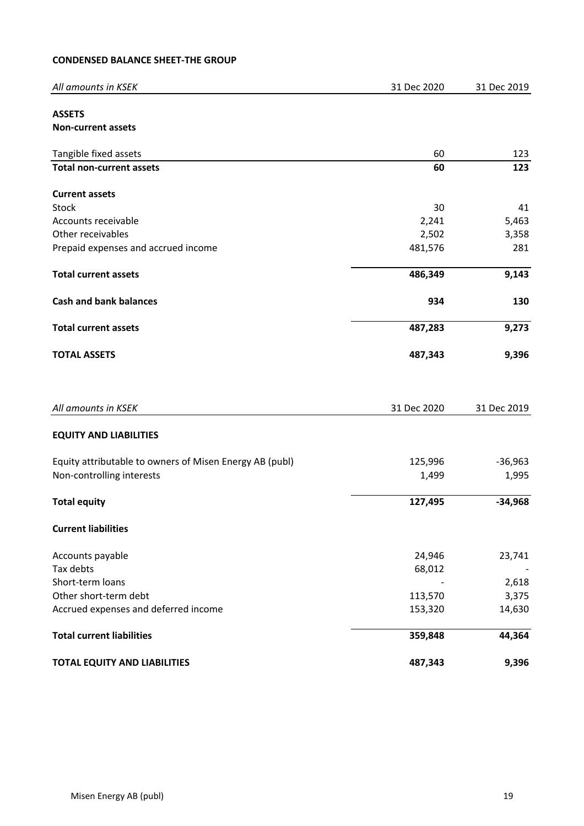# **CONDENSED BALANCE SHEET-THE GROUP**

| All amounts in KSEK                                     | 31 Dec 2020 | 31 Dec 2019 |
|---------------------------------------------------------|-------------|-------------|
| <b>ASSETS</b>                                           |             |             |
| Non-current assets                                      |             |             |
| Tangible fixed assets                                   | 60          | 123         |
| <b>Total non-current assets</b>                         | 60          | 123         |
| <b>Current assets</b>                                   |             |             |
| Stock                                                   | 30          | 41          |
| Accounts receivable                                     | 2,241       | 5,463       |
| Other receivables                                       | 2,502       | 3,358       |
| Prepaid expenses and accrued income                     | 481,576     | 281         |
| <b>Total current assets</b>                             | 486,349     | 9,143       |
| <b>Cash and bank balances</b>                           | 934         | 130         |
| <b>Total current assets</b>                             | 487,283     | 9,273       |
| <b>TOTAL ASSETS</b>                                     | 487,343     | 9,396       |
| All amounts in KSEK                                     | 31 Dec 2020 | 31 Dec 2019 |
| <b>EQUITY AND LIABILITIES</b>                           |             |             |
| Equity attributable to owners of Misen Energy AB (publ) | 125,996     | $-36,963$   |
| Non-controlling interests                               | 1,499       | 1,995       |
| <b>Total equity</b>                                     | 127,495     | $-34,968$   |
| <b>Current liabilities</b>                              |             |             |
| Accounts payable                                        | 24,946      | 23,741      |
| Tax debts                                               | 68,012      |             |
| Short-term loans                                        |             | 2,618       |
| Other short-term debt                                   | 113,570     | 3,375       |
| Accrued expenses and deferred income                    | 153,320     | 14,630      |
| <b>Total current liabilities</b>                        | 359,848     | 44,364      |
| <b>TOTAL EQUITY AND LIABILITIES</b>                     | 487,343     | 9,396       |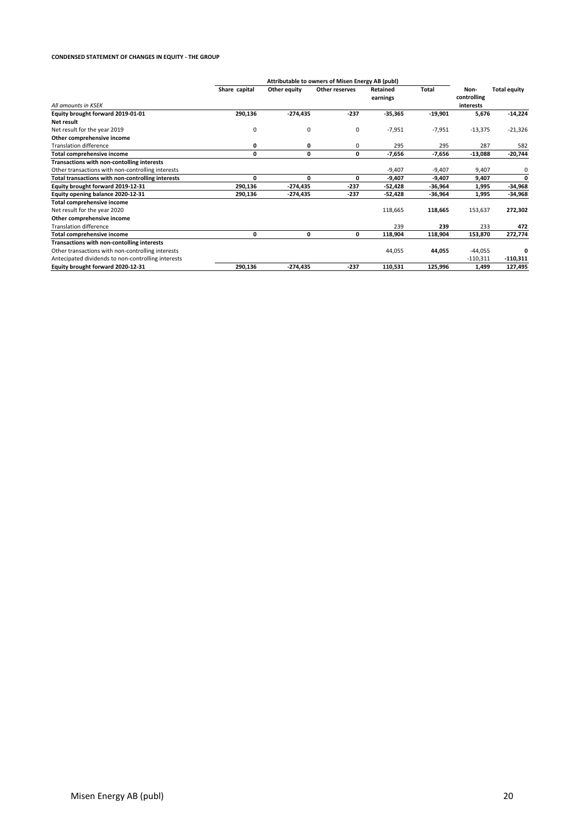#### **CONDENSED STATEMENT OF CHANGES IN EQUITY - THE GROUP**

|                                                    | Attributable to owners of Misen Energy AB (publ) |              |                |                      |           |                                  |                     |
|----------------------------------------------------|--------------------------------------------------|--------------|----------------|----------------------|-----------|----------------------------------|---------------------|
| All amounts in KSEK                                | Share capital                                    | Other equity | Other reserves | Retained<br>earnings | Total     | Non-<br>controlling<br>interests | <b>Total equity</b> |
| Equity brought forward 2019-01-01                  | 290,136                                          | $-274,435$   | $-237$         | $-35,365$            | $-19,901$ | 5,676                            | $-14,224$           |
| Net result                                         |                                                  |              |                |                      |           |                                  |                     |
| Net result for the year 2019                       | 0                                                | 0            | 0              | $-7,951$             | $-7,951$  | $-13,375$                        | $-21,326$           |
| Other comprehensive income                         |                                                  |              |                |                      |           |                                  |                     |
| <b>Translation difference</b>                      | 0                                                | 0            | 0              | 295                  | 295       | 287                              | 582                 |
| <b>Total comprehensive income</b>                  | 0                                                | 0            | 0              | $-7,656$             | -7,656    | $-13,088$                        | -20,744             |
| Transactions with non-contolling interests         |                                                  |              |                |                      |           |                                  |                     |
| Other transactions with non-controlling interests  |                                                  |              |                | $-9,407$             | $-9,407$  | 9,407                            | 0                   |
| Total transactions with non-controlling interests  | 0                                                | 0            | 0              | $-9,407$             | -9,407    | 9,407                            | $\Omega$            |
| Equity brought forward 2019-12-31                  | 290,136                                          | $-274,435$   | $-237$         | $-52,428$            | -36,964   | 1,995                            | -34,968             |
| Equity opening balance 2020-12-31                  | 290,136                                          | $-274.435$   | $-237$         | $-52,428$            | $-36,964$ | 1,995                            | -34,968             |
| <b>Total comprehensive income</b>                  |                                                  |              |                |                      |           |                                  |                     |
| Net result for the year 2020                       |                                                  |              |                | 118,665              | 118,665   | 153,637                          | 272,302             |
| Other comprehensive income                         |                                                  |              |                |                      |           |                                  |                     |
| <b>Translation difference</b>                      |                                                  |              |                | 239                  | 239       | 233                              | 472                 |
| <b>Total comprehensive income</b>                  | 0                                                | 0            | 0              | 118,904              | 118,904   | 153,870                          | 272,774             |
| Transactions with non-contolling interests         |                                                  |              |                |                      |           |                                  |                     |
| Other transactions with non-controlling interests  |                                                  |              |                | 44,055               | 44,055    | $-44,055$                        |                     |
| Antecipated dividends to non-controlling interests |                                                  |              |                |                      |           | $-110,311$                       | $-110,311$          |
| Equity brought forward 2020-12-31                  | 290,136                                          | $-274,435$   | $-237$         | 110,531              | 125,996   | 1,499                            | 127,495             |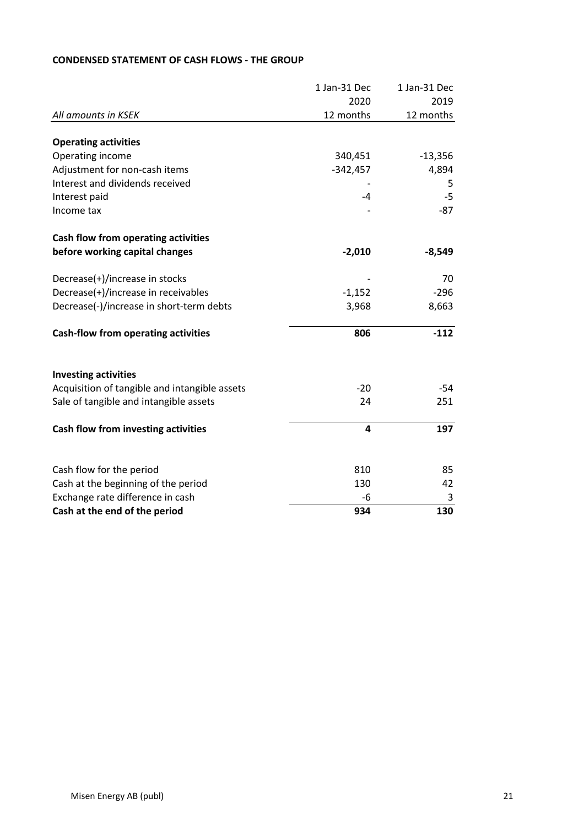|                                               | 1 Jan-31 Dec | 1 Jan-31 Dec |
|-----------------------------------------------|--------------|--------------|
|                                               | 2020         | 2019         |
| All amounts in KSEK                           | 12 months    | 12 months    |
|                                               |              |              |
| <b>Operating activities</b>                   |              |              |
| Operating income                              | 340,451      | $-13,356$    |
| Adjustment for non-cash items                 | $-342,457$   | 4,894        |
| Interest and dividends received               |              | 5            |
| Interest paid                                 | -4           | $-5$         |
| Income tax                                    |              | $-87$        |
| Cash flow from operating activities           |              |              |
| before working capital changes                | $-2,010$     | $-8,549$     |
| Decrease(+)/increase in stocks                |              | 70           |
| Decrease(+)/increase in receivables           | $-1,152$     | $-296$       |
| Decrease(-)/increase in short-term debts      | 3,968        | 8,663        |
| <b>Cash-flow from operating activities</b>    | 806          | $-112$       |
| <b>Investing activities</b>                   |              |              |
| Acquisition of tangible and intangible assets | $-20$        | -54          |
| Sale of tangible and intangible assets        | 24           | 251          |
| Cash flow from investing activities           | 4            | 197          |
|                                               |              |              |
| Cash flow for the period                      | 810          | 85           |
| Cash at the beginning of the period           | 130          | 42           |
| Exchange rate difference in cash              | -6           | 3            |
| Cash at the end of the period                 | 934          | 130          |

# **CONDENSED STATEMENT OF CASH FLOWS - THE GROUP**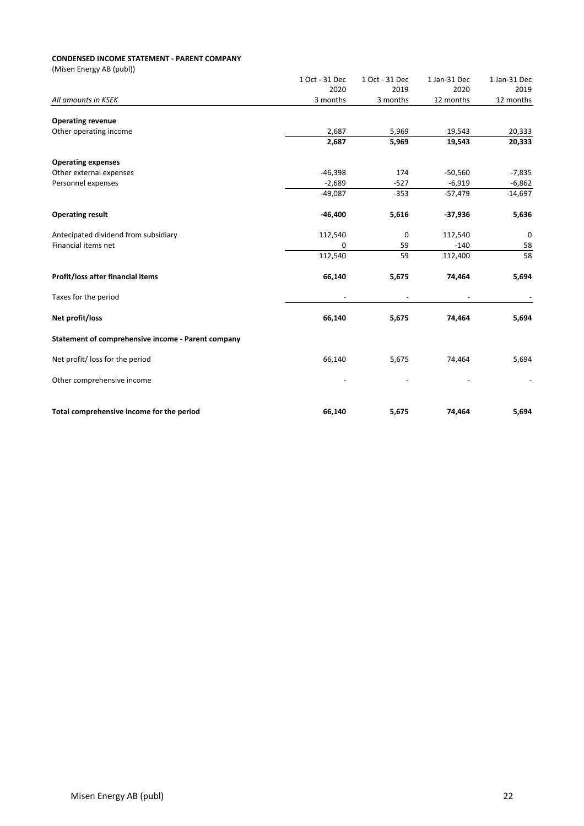#### **CONDENSED INCOME STATEMENT - PARENT COMPANY**

| 1 Oct - 31 Dec | 1 Oct - 31 Dec                           | 1 Jan-31 Dec                    | 1 Jan-31 Dec                              |
|----------------|------------------------------------------|---------------------------------|-------------------------------------------|
| 2020           | 2019                                     | 2020                            | 2019                                      |
| 3 months       | 3 months                                 | 12 months                       | 12 months                                 |
|                |                                          |                                 |                                           |
|                |                                          |                                 | 20,333                                    |
| 2,687          | 5,969                                    | 19,543                          | 20,333                                    |
|                |                                          |                                 |                                           |
|                |                                          |                                 | $-7,835$                                  |
|                |                                          |                                 | $-6,862$                                  |
| $-49,087$      | $-353$                                   | $-57,479$                       | $-14,697$                                 |
| $-46,400$      | 5,616                                    | $-37,936$                       | 5,636                                     |
| 112,540        | $\mathbf 0$                              | 112,540                         | 0                                         |
| 0              | 59                                       | $-140$                          | 58                                        |
| 112,540        | 59                                       | 112,400                         | 58                                        |
| 66,140         | 5,675                                    | 74,464                          | 5,694                                     |
|                |                                          |                                 |                                           |
| 66,140         | 5,675                                    | 74,464                          | 5,694                                     |
|                |                                          |                                 |                                           |
| 66,140         | 5,675                                    | 74,464                          | 5,694                                     |
|                |                                          |                                 |                                           |
|                |                                          |                                 | 5,694                                     |
|                | 2,687<br>$-46,398$<br>$-2,689$<br>66,140 | 5,969<br>174<br>$-527$<br>5,675 | 19,543<br>$-50,560$<br>$-6,919$<br>74,464 |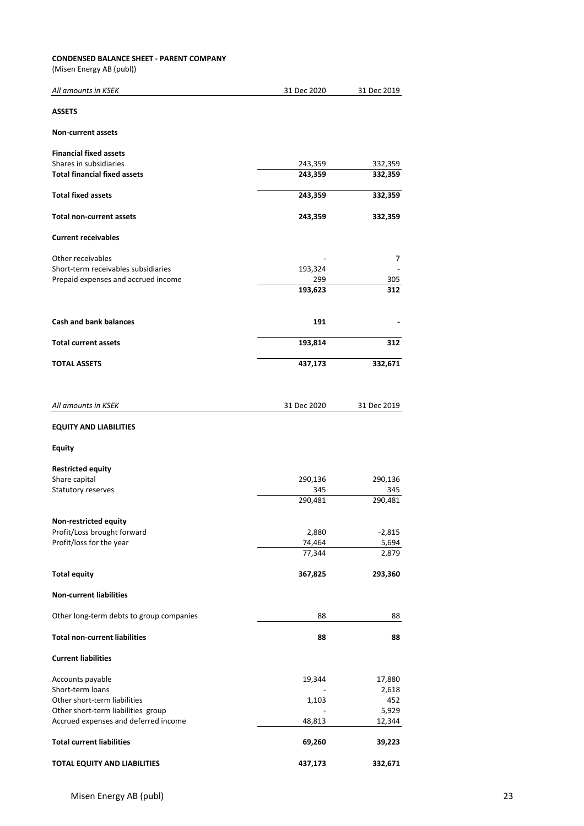### **CONDENSED BALANCE SHEET - PARENT COMPANY**

| All amounts in KSEK                      | 31 Dec 2020      | 31 Dec 2019    |
|------------------------------------------|------------------|----------------|
| <b>ASSETS</b>                            |                  |                |
| <b>Non-current assets</b>                |                  |                |
| <b>Financial fixed assets</b>            |                  |                |
| Shares in subsidiaries                   | 243,359          | 332,359        |
| <b>Total financial fixed assets</b>      | 243,359          | 332,359        |
| <b>Total fixed assets</b>                | 243,359          | 332,359        |
| <b>Total non-current assets</b>          | 243,359          | 332,359        |
| <b>Current receivables</b>               |                  |                |
| Other receivables                        |                  | 7              |
| Short-term receivables subsidiaries      | 193,324          |                |
| Prepaid expenses and accrued income      | 299              | 305            |
|                                          | 193,623          | 312            |
| <b>Cash and bank balances</b>            | 191              |                |
| <b>Total current assets</b>              | 193,814          | 312            |
| <b>TOTAL ASSETS</b>                      | 437,173          | 332,671        |
|                                          |                  |                |
| All amounts in KSEK                      | 31 Dec 2020      | 31 Dec 2019    |
| <b>EQUITY AND LIABILITIES</b>            |                  |                |
| Equity                                   |                  |                |
| <b>Restricted equity</b>                 |                  |                |
| Share capital                            | 290,136          | 290,136        |
| Statutory reserves                       | 345              | 345            |
|                                          | 290,481          | 290,481        |
|                                          |                  |                |
| Non-restricted equity                    |                  |                |
| Profit/Loss brought forward              | 2,880            | $-2,815$       |
| Profit/loss for the year                 | 74,464<br>77,344 | 5,694<br>2,879 |
|                                          |                  |                |
| <b>Total equity</b>                      | 367,825          | 293,360        |
| <b>Non-current liabilities</b>           |                  |                |
| Other long-term debts to group companies | 88               | 88             |
| <b>Total non-current liabilities</b>     | 88               | 88             |
| <b>Current liabilities</b>               |                  |                |
| Accounts payable                         | 19,344           | 17,880         |
| Short-term loans                         |                  | 2,618          |
| Other short-term liabilities             | 1,103            | 452            |
| Other short-term liabilities group       |                  | 5,929          |
| Accrued expenses and deferred income     | 48,813           | 12,344         |
| <b>Total current liabilities</b>         | 69,260           | 39,223         |
| TOTAL EQUITY AND LIABILITIES             | 437,173          | 332,671        |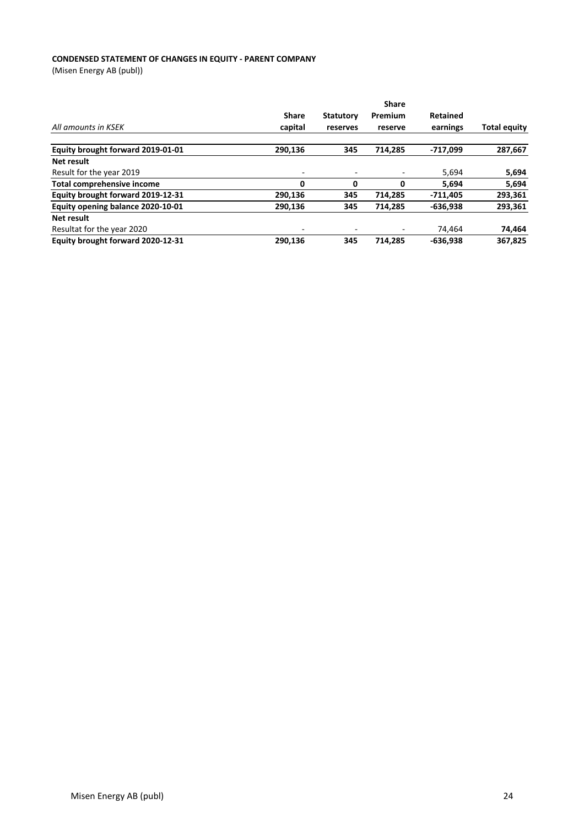### **CONDENSED STATEMENT OF CHANGES IN EQUITY - PARENT COMPANY**

|                                   |              |                  | <b>Share</b> |            |                     |
|-----------------------------------|--------------|------------------|--------------|------------|---------------------|
|                                   | <b>Share</b> | <b>Statutory</b> | Premium      | Retained   |                     |
| All amounts in KSEK               | capital      | reserves         | reserve      | earnings   | <b>Total equity</b> |
| Equity brought forward 2019-01-01 | 290,136      | 345              | 714.285      | -717,099   | 287,667             |
| Net result                        |              |                  |              |            |                     |
| Result for the year 2019          | -            |                  |              | 5,694      | 5,694               |
| <b>Total comprehensive income</b> | 0            | 0                | 0            | 5.694      | 5,694               |
| Equity brought forward 2019-12-31 | 290,136      | 345              | 714,285      | $-711,405$ | 293,361             |
| Equity opening balance 2020-10-01 | 290,136      | 345              | 714.285      | -636,938   | 293,361             |
| Net result                        |              |                  |              |            |                     |
| Resultat for the year 2020        | -            |                  |              | 74.464     | 74,464              |
| Equity brought forward 2020-12-31 | 290,136      | 345              | 714.285      | $-636.938$ | 367.825             |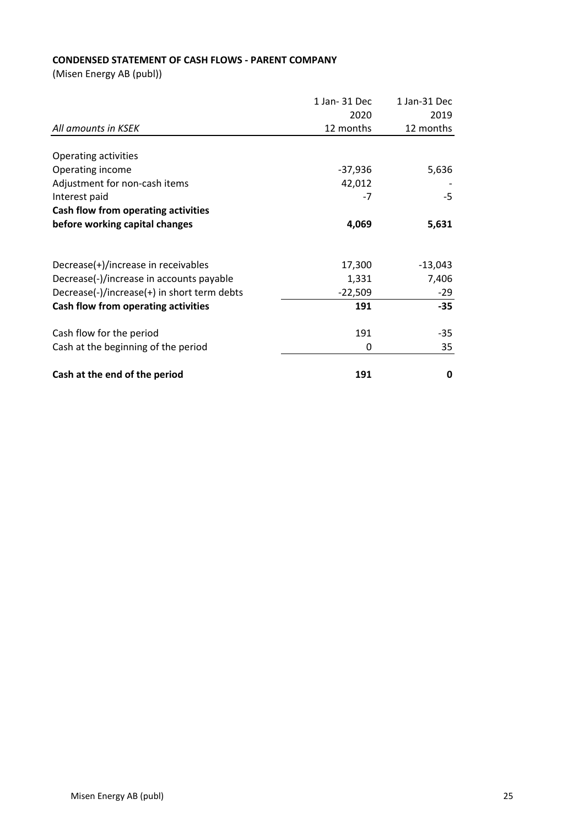# **CONDENSED STATEMENT OF CASH FLOWS - PARENT COMPANY**

|                                             | 1 Jan- 31 Dec | 1 Jan-31 Dec |
|---------------------------------------------|---------------|--------------|
|                                             | 2020          | 2019         |
| All amounts in KSEK                         | 12 months     | 12 months    |
|                                             |               |              |
| Operating activities                        |               |              |
| Operating income                            | $-37,936$     | 5,636        |
| Adjustment for non-cash items               | 42,012        |              |
| Interest paid                               | -7            | $-5$         |
| Cash flow from operating activities         |               |              |
| before working capital changes              | 4,069         | 5,631        |
|                                             |               |              |
| Decrease(+)/increase in receivables         | 17,300        | $-13,043$    |
| Decrease(-)/increase in accounts payable    | 1,331         | 7,406        |
| Decrease(-)/increase(+) in short term debts | $-22,509$     | -29          |
| Cash flow from operating activities         | 191           | $-35$        |
| Cash flow for the period                    | 191           | -35          |
| Cash at the beginning of the period         | 0             | 35           |
|                                             |               |              |
| Cash at the end of the period               | 191           | 0            |